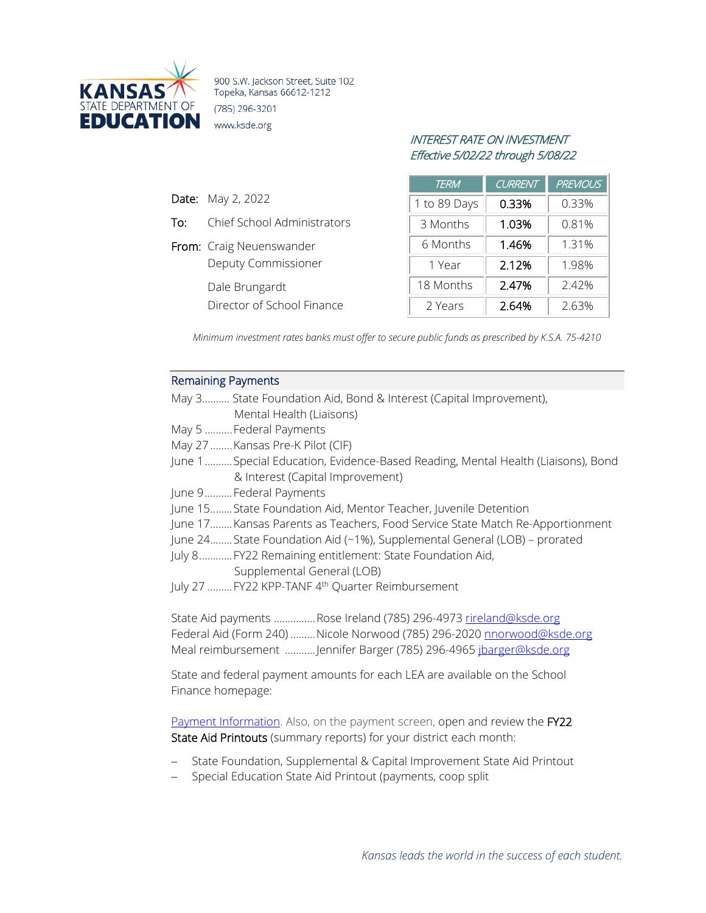

900 S.W. Jackson Street, Suite 102 Topeka, Kansas 66612-1212 (785) 296-3201 www.ksde.org

# INTEREST RATE ON INVESTMENT Effective 5/02/22 through 5/08/22

| <b>TERM</b>  | CURRENT | <b>PREVIOUS</b> |
|--------------|---------|-----------------|
| 1 to 89 Days | 0.33%   | 0.33%           |
| 3 Months     | 1.03%   | 0.81%           |
| 6 Months     | 1.46%   | 1.31%           |
| 1 Year       | 2.12%   | 1.98%           |
| 18 Months    | 2.47%   | 2.42%           |
| 2 Years      | 2.64%   | 2.63%           |

*Minimum investment rates banks must offer to secure public funds as prescribed by K.S.A. 75-4210*

### Remaining Payments

Date: May 2, 2022

To: Chief School Administrators

Deputy Commissioner

Director of School Finance

From: Craig Neuenswander

Dale Brungardt

|                         | May 3 State Foundation Aid, Bond & Interest (Capital Improvement),              |
|-------------------------|---------------------------------------------------------------------------------|
|                         | Mental Health (Liaisons)                                                        |
| May 5  Federal Payments |                                                                                 |
|                         | May 27  Kansas Pre-K Pilot (CIF)                                                |
|                         | June 1Special Education, Evidence-Based Reading, Mental Health (Liaisons), Bond |
|                         | & Interest (Capital Improvement)                                                |
| June 9Federal Payments  |                                                                                 |
|                         | June 15State Foundation Aid, Mentor Teacher, Juvenile Detention                 |
|                         | June 17 Kansas Parents as Teachers, Food Service State Match Re-Apportionment   |
|                         | June 24State Foundation Aid (~1%), Supplemental General (LOB) - prorated        |
|                         | July 8 FY22 Remaining entitlement: State Foundation Aid,                        |
|                         | Supplemental General (LOB)                                                      |
|                         | July 27  FY22 KPP-TANF 4 <sup>th</sup> Quarter Reimbursement                    |
|                         |                                                                                 |
|                         | State Aid payments Rose Ireland (785) 296-4973 rireland@ksde.org                |
|                         | Federal Aid (Form 240)  Nicole Norwood (785) 296-2020 nnorwood@ksde.org         |

Meal reimbursement ...........Jennifer Barger (785) 296-4965 [jbarger@ksde.org](mailto:jbarger@ksde.org)

State and federal payment amounts for each LEA are available on the School Finance homepage:

[Payment Information.](http://www.ksde.org/Agency/FiscalandAdministrativeServices/SchoolFinance/PaymentInformation.aspx) Also, on the payment screen, open and review the FY22 State Aid Printouts (summary reports) for your district each month:

- − State Foundation, Supplemental & Capital Improvement State Aid Printout
- − Special Education State Aid Printout (payments, coop split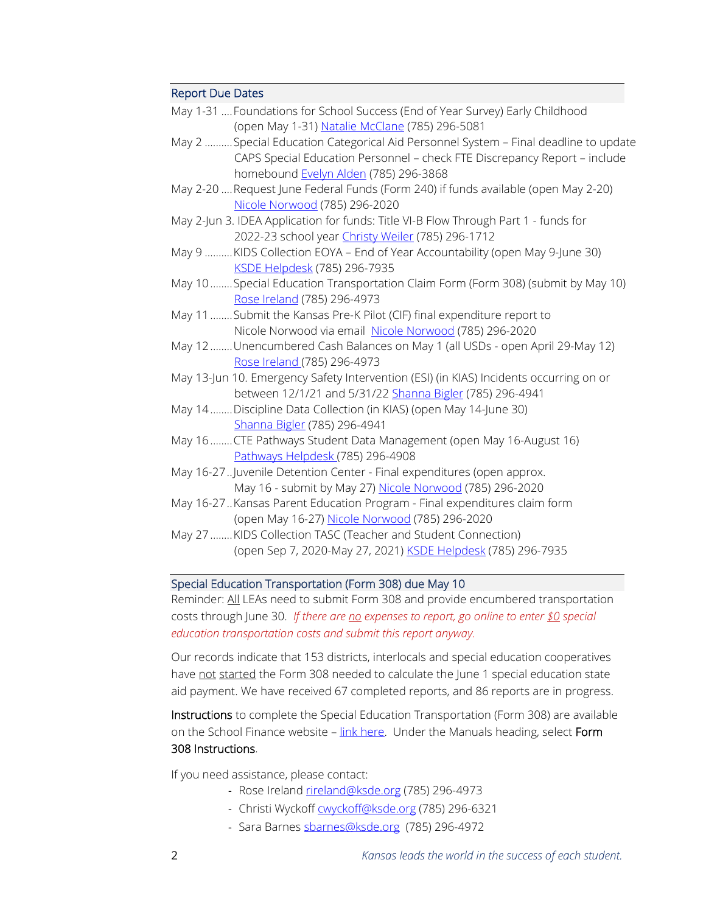### Report Due Dates

| May 1-31  Foundations for School Success (End of Year Survey) Early Childhood                                                                                     |
|-------------------------------------------------------------------------------------------------------------------------------------------------------------------|
| (open May 1-31) Natalie McClane (785) 296-5081                                                                                                                    |
| May 2  Special Education Categorical Aid Personnel System - Final deadline to update<br>CAPS Special Education Personnel - check FTE Discrepancy Report - include |
| homebound Evelyn Alden (785) 296-3868                                                                                                                             |
| May 2-20  Request June Federal Funds (Form 240) if funds available (open May 2-20)                                                                                |
| Nicole Norwood (785) 296-2020                                                                                                                                     |
| May 2-Jun 3. IDEA Application for funds: Title VI-B Flow Through Part 1 - funds for                                                                               |
| 2022-23 school year Christy Weiler (785) 296-1712                                                                                                                 |
| May 9  KIDS Collection EOYA - End of Year Accountability (open May 9-June 30)                                                                                     |
| KSDE Helpdesk (785) 296-7935                                                                                                                                      |
| May 10 Special Education Transportation Claim Form (Form 308) (submit by May 10)                                                                                  |
| Rose Ireland (785) 296-4973                                                                                                                                       |
| May 11  Submit the Kansas Pre-K Pilot (CIF) final expenditure report to                                                                                           |
| Nicole Norwood via email Nicole Norwood (785) 296-2020                                                                                                            |
| May 12 Unencumbered Cash Balances on May 1 (all USDs - open April 29-May 12)                                                                                      |
| Rose Ireland (785) 296-4973                                                                                                                                       |
| May 13-Jun 10. Emergency Safety Intervention (ESI) (in KIAS) Incidents occurring on or                                                                            |
| between 12/1/21 and 5/31/22 Shanna Bigler (785) 296-4941                                                                                                          |
| May 14 Discipline Data Collection (in KIAS) (open May 14-June 30)                                                                                                 |
| Shanna Bigler (785) 296-4941                                                                                                                                      |
| May 16 CTE Pathways Student Data Management (open May 16-August 16)                                                                                               |
| Pathways Helpdesk (785) 296-4908                                                                                                                                  |
| May 16-27. Juvenile Detention Center - Final expenditures (open approx.                                                                                           |
| May 16 - submit by May 27) Nicole Norwood (785) 296-2020                                                                                                          |
| May 16-27. Kansas Parent Education Program - Final expenditures claim form                                                                                        |
| (open May 16-27) Nicole Norwood (785) 296-2020                                                                                                                    |
| May 27 KIDS Collection TASC (Teacher and Student Connection)                                                                                                      |
| (open Sep 7, 2020-May 27, 2021) KSDE Helpdesk (785) 296-7935                                                                                                      |
|                                                                                                                                                                   |

### Special Education Transportation (Form 308) due May 10

Reminder: All LEAs need to submit Form 308 and provide encumbered transportation costs through June 30. *If there are no expenses to report, go online to enter \$0 special education transportation costs and submit this report anyway.*

Our records indicate that 153 districts, interlocals and special education cooperatives have not started the Form 308 needed to calculate the June 1 special education state aid payment. We have received 67 completed reports, and 86 reports are in progress.

Instructions to complete the Special Education Transportation (Form 308) are available on the School Finance website - link here. Under the Manuals heading, select Form 308 Instructions.

If you need assistance, please contact:

- Rose Ireland [rireland@ksde.org](mailto:rireland@ksde.org) (785) 296-4973
- Christi Wyckof[f cwyckoff@ksde.org](mailto:cwyckoff@ksde.org) (785) 296-6321
- Sara Barne[s sbarnes@ksde.org](mailto:sbarnes@ksde.org) (785) 296-4972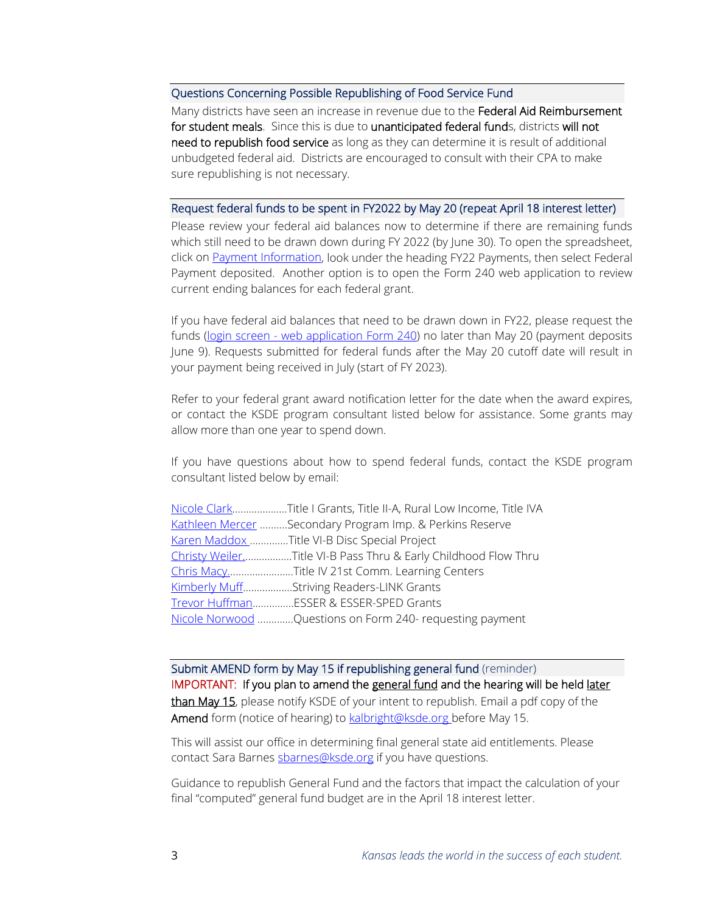#### Questions Concerning Possible Republishing of Food Service Fund

Many districts have seen an increase in revenue due to the Federal Aid Reimbursement for student meals. Since this is due to unanticipated federal funds, districts will not need to republish food service as long as they can determine it is result of additional unbudgeted federal aid. Districts are encouraged to consult with their CPA to make sure republishing is not necessary.

#### Request federal funds to be spent in FY2022 by May 20 (repeat April 18 interest letter)

Please review your federal aid balances now to determine if there are remaining funds which still need to be drawn down during FY 2022 (by June 30). To open the spreadsheet, click on [Payment Information,](https://www.ksde.org/Agency/Fiscal-and-Administrative-Services/School-Finance/Payment-Information) look under the heading FY22 Payments, then select Federal Payment deposited. Another option is to open the Form 240 web application to review current ending balances for each federal grant.

If you have federal aid balances that need to be drawn down in FY22, please request the funds (login screen - [web application Form 240\)](https://apps.ksde.org/authentication/login.aspx) no later than May 20 (payment deposits June 9). Requests submitted for federal funds after the May 20 cutoff date will result in your payment being received in July (start of FY 2023).

Refer to your federal grant award notification letter for the date when the award expires, or contact the KSDE program consultant listed below for assistance. Some grants may allow more than one year to spend down.

If you have questions about how to spend federal funds, contact the KSDE program consultant listed below by email:

| Nicole ClarkTitle I Grants, Title II-A, Rural Low Income, Title IVA |
|---------------------------------------------------------------------|
| Kathleen Mercer Secondary Program Imp. & Perkins Reserve            |
| Karen Maddox Title VI-B Disc Special Project                        |
| Christy WeilerTitle VI-B Pass Thru & Early Childhood Flow Thru      |
| Chris MacyTitle IV 21st Comm. Learning Centers                      |
| Kimberly MuffStriving Readers-LINK Grants                           |
| Trevor HuffmanESSER & ESSER-SPED Grants                             |
| Nicole Norwood Questions on Form 240- requesting payment            |

Submit AMEND form by May 15 if republishing general fund (reminder) IMPORTANT: If you plan to amend the general fund and the hearing will be held later than May 15, please notify KSDE of your intent to republish. Email a pdf copy of the Amend form (notice of hearing) to **kalbright@ksde.org** before May 15.

This will assist our office in determining final general state aid entitlements. Please contact Sara Barnes [sbarnes@ksde.org](mailto:sbarnes@ksde.org) if you have questions.

Guidance to republish General Fund and the factors that impact the calculation of your final "computed" general fund budget are in the April 18 interest letter.